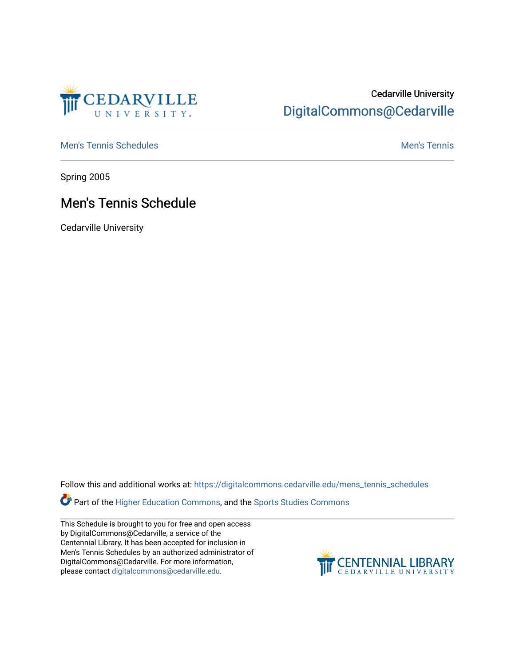

## Cedarville University [DigitalCommons@Cedarville](https://digitalcommons.cedarville.edu/)

[Men's Tennis Schedules](https://digitalcommons.cedarville.edu/mens_tennis_schedules) [Men's Tennis](https://digitalcommons.cedarville.edu/mens_tennis) Schedules Men's Tennis Schedules Men's Tennis

Spring 2005

## Men's Tennis Schedule

Cedarville University

Follow this and additional works at: [https://digitalcommons.cedarville.edu/mens\\_tennis\\_schedules](https://digitalcommons.cedarville.edu/mens_tennis_schedules?utm_source=digitalcommons.cedarville.edu%2Fmens_tennis_schedules%2F40&utm_medium=PDF&utm_campaign=PDFCoverPages) 

Part of the [Higher Education Commons,](http://network.bepress.com/hgg/discipline/1245?utm_source=digitalcommons.cedarville.edu%2Fmens_tennis_schedules%2F40&utm_medium=PDF&utm_campaign=PDFCoverPages) and the [Sports Studies Commons](http://network.bepress.com/hgg/discipline/1198?utm_source=digitalcommons.cedarville.edu%2Fmens_tennis_schedules%2F40&utm_medium=PDF&utm_campaign=PDFCoverPages) 

This Schedule is brought to you for free and open access by DigitalCommons@Cedarville, a service of the Centennial Library. It has been accepted for inclusion in Men's Tennis Schedules by an authorized administrator of DigitalCommons@Cedarville. For more information, please contact [digitalcommons@cedarville.edu](mailto:digitalcommons@cedarville.edu).